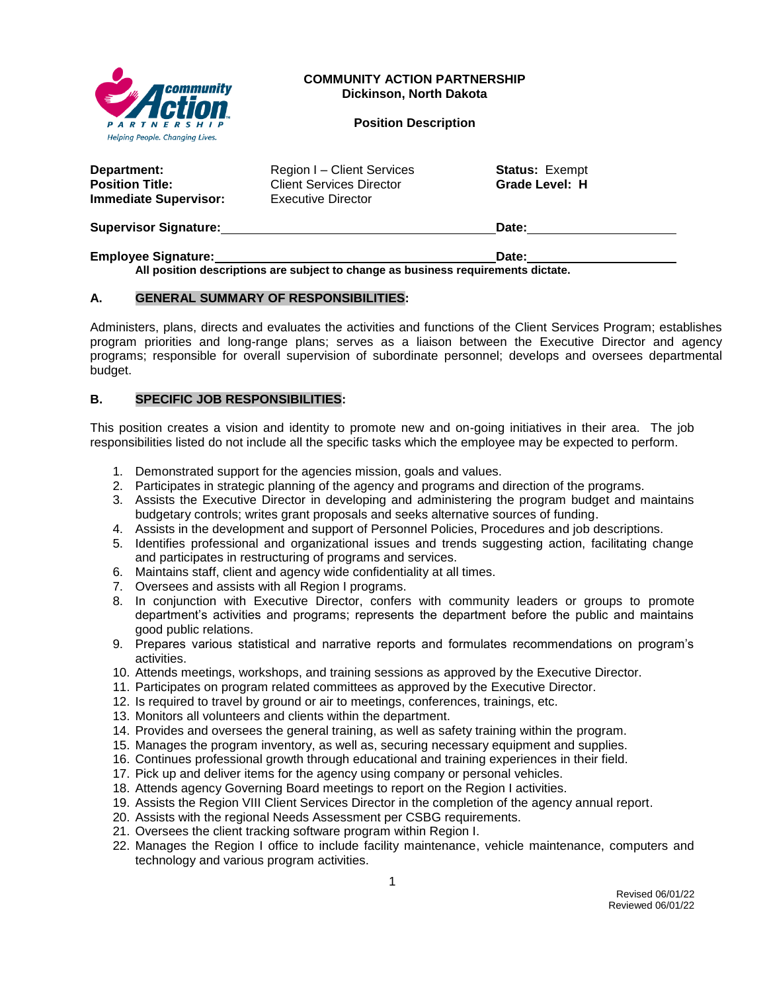

### **COMMUNITY ACTION PARTNERSHIP Dickinson, North Dakota**

#### **Position Description**

| Department:<br><b>Position Title:</b><br><b>Immediate Supervisor:</b> | Region I – Client Services<br><b>Client Services Director</b><br><b>Executive Director</b> | <b>Status: Exempt</b><br>Grade Level: H |  |
|-----------------------------------------------------------------------|--------------------------------------------------------------------------------------------|-----------------------------------------|--|
| <b>Supervisor Signature:</b>                                          |                                                                                            | Date:                                   |  |
| <b>Employee Signature:</b>                                            |                                                                                            | Date:                                   |  |

**All position descriptions are subject to change as business requirements dictate.**

### **A. GENERAL SUMMARY OF RESPONSIBILITIES:**

Administers, plans, directs and evaluates the activities and functions of the Client Services Program; establishes program priorities and long-range plans; serves as a liaison between the Executive Director and agency programs; responsible for overall supervision of subordinate personnel; develops and oversees departmental budget.

## **B. SPECIFIC JOB RESPONSIBILITIES:**

This position creates a vision and identity to promote new and on-going initiatives in their area. The job responsibilities listed do not include all the specific tasks which the employee may be expected to perform.

- 1. Demonstrated support for the agencies mission, goals and values.
- 2. Participates in strategic planning of the agency and programs and direction of the programs.
- 3. Assists the Executive Director in developing and administering the program budget and maintains budgetary controls; writes grant proposals and seeks alternative sources of funding.
- 4. Assists in the development and support of Personnel Policies, Procedures and job descriptions.
- 5. Identifies professional and organizational issues and trends suggesting action, facilitating change and participates in restructuring of programs and services.
- 6. Maintains staff, client and agency wide confidentiality at all times.
- 7. Oversees and assists with all Region I programs.
- 8. In conjunction with Executive Director, confers with community leaders or groups to promote department's activities and programs; represents the department before the public and maintains good public relations.
- 9. Prepares various statistical and narrative reports and formulates recommendations on program's activities.
- 10. Attends meetings, workshops, and training sessions as approved by the Executive Director.
- 11. Participates on program related committees as approved by the Executive Director.
- 12. Is required to travel by ground or air to meetings, conferences, trainings, etc.
- 13. Monitors all volunteers and clients within the department.
- 14. Provides and oversees the general training, as well as safety training within the program.
- 15. Manages the program inventory, as well as, securing necessary equipment and supplies.
- 16. Continues professional growth through educational and training experiences in their field.
- 17. Pick up and deliver items for the agency using company or personal vehicles.
- 18. Attends agency Governing Board meetings to report on the Region I activities.
- 19. Assists the Region VIII Client Services Director in the completion of the agency annual report.
- 20. Assists with the regional Needs Assessment per CSBG requirements.
- 21. Oversees the client tracking software program within Region I.
- 22. Manages the Region I office to include facility maintenance, vehicle maintenance, computers and technology and various program activities.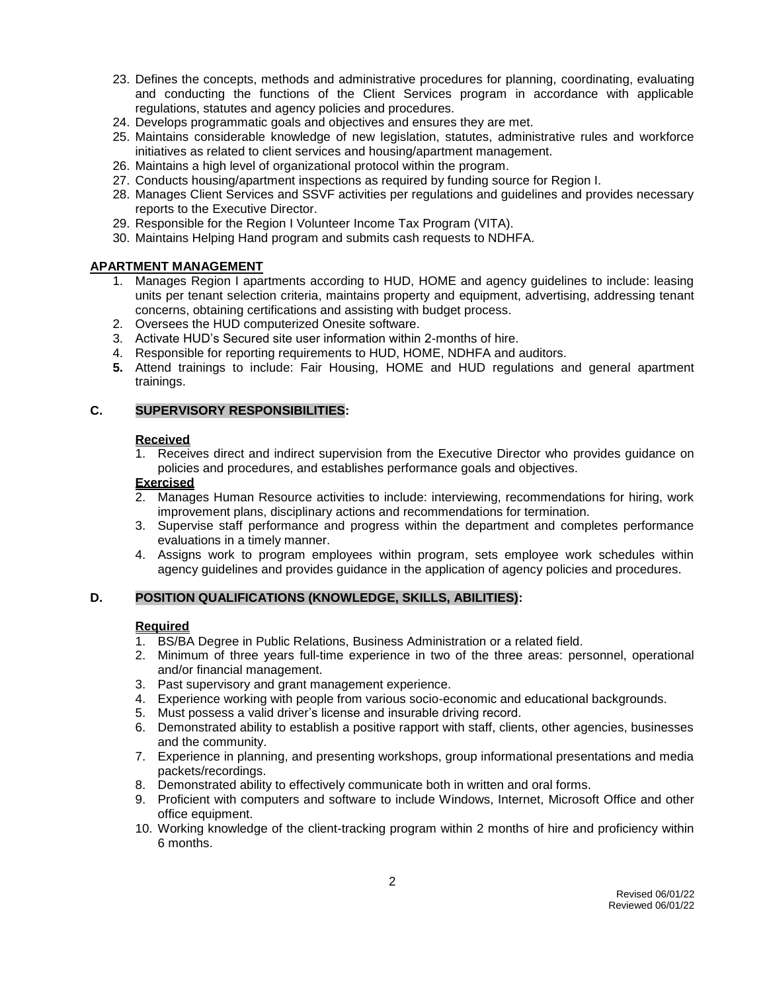- 23. Defines the concepts, methods and administrative procedures for planning, coordinating, evaluating and conducting the functions of the Client Services program in accordance with applicable regulations, statutes and agency policies and procedures.
- 24. Develops programmatic goals and objectives and ensures they are met.
- 25. Maintains considerable knowledge of new legislation, statutes, administrative rules and workforce initiatives as related to client services and housing/apartment management.
- 26. Maintains a high level of organizational protocol within the program.
- 27. Conducts housing/apartment inspections as required by funding source for Region I.
- 28. Manages Client Services and SSVF activities per regulations and guidelines and provides necessary reports to the Executive Director.
- 29. Responsible for the Region I Volunteer Income Tax Program (VITA).
- 30. Maintains Helping Hand program and submits cash requests to NDHFA.

## **APARTMENT MANAGEMENT**

- 1. Manages Region I apartments according to HUD, HOME and agency guidelines to include: leasing units per tenant selection criteria, maintains property and equipment, advertising, addressing tenant concerns, obtaining certifications and assisting with budget process.
- 2. Oversees the HUD computerized Onesite software.
- 3. Activate HUD's Secured site user information within 2-months of hire.
- 4. Responsible for reporting requirements to HUD, HOME, NDHFA and auditors.
- **5.** Attend trainings to include: Fair Housing, HOME and HUD regulations and general apartment trainings.

## **C. SUPERVISORY RESPONSIBILITIES:**

### **Received**

1. Receives direct and indirect supervision from the Executive Director who provides guidance on policies and procedures, and establishes performance goals and objectives.

### **Exercised**

- 2. Manages Human Resource activities to include: interviewing, recommendations for hiring, work improvement plans, disciplinary actions and recommendations for termination.
- 3. Supervise staff performance and progress within the department and completes performance evaluations in a timely manner.
- 4. Assigns work to program employees within program, sets employee work schedules within agency guidelines and provides guidance in the application of agency policies and procedures.

### **D. POSITION QUALIFICATIONS (KNOWLEDGE, SKILLS, ABILITIES):**

### **Required**

- 1. BS/BA Degree in Public Relations, Business Administration or a related field.
- 2. Minimum of three years full-time experience in two of the three areas: personnel, operational and/or financial management.
- 3. Past supervisory and grant management experience.
- 4. Experience working with people from various socio-economic and educational backgrounds.
- 5. Must possess a valid driver's license and insurable driving record.
- 6. Demonstrated ability to establish a positive rapport with staff, clients, other agencies, businesses and the community.
- 7. Experience in planning, and presenting workshops, group informational presentations and media packets/recordings.
- 8. Demonstrated ability to effectively communicate both in written and oral forms.
- 9. Proficient with computers and software to include Windows, Internet, Microsoft Office and other office equipment.
- 10. Working knowledge of the client-tracking program within 2 months of hire and proficiency within 6 months.